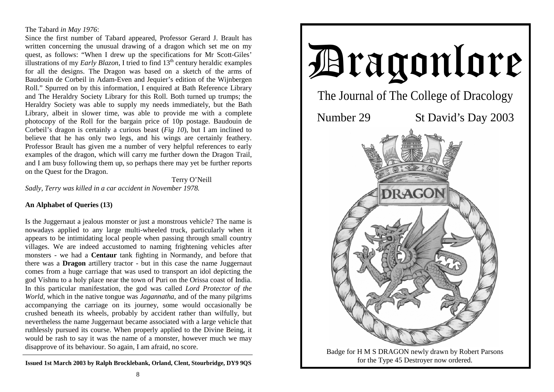### The Tabard *in May 1976*:

Since the first number of Tabard appeared, Professor Gerard J. Brault has written concerning the unusual drawing of a dragon which set me on my quest, as follows: "When I drew up the specifications for Mr Scott-Giles' illustrations of my *Early Blazon*, I tried to find  $13<sup>th</sup>$  century heraldic examples for all the designs. The Dragon was based on a sketch of the arms of Baudouin de Corbeil in Adam-Even and Jequier's edition of the Wijnbergen Roll." Spurred on by this information, I enquired at Bath Reference Library and The Heraldry Society Library for this Roll. Both turned up trumps; the Heraldry Society was able to supply my needs immediately, but the Bath Library, albeit in slower time, was able to provide me with a complete photocopy of the Roll for the bargain price of 10p postage. Baudouin de Corbeil's dragon is certainly a curious beast (*Fig 10*), but I am inclined to believe that he has only two legs, and his wings are certainly feathery. Professor Brault has given me a number of very helpful references to early examples of the dragon, which will carry me further down the Dragon Trail, and I am busy following them up, so perhaps there may yet be further reports on the Quest for the Dragon.

 Terry O'Neill *Sadly, Terry was killed in a car accident in November 1978.* 

# **An Alphabet of Queries (13)**

Is the Juggernaut a jealous monster or just a monstrous vehicle? The name is nowadays applied to any large multi-wheeled truck, particularly when it appears to be intimidating local people when passing through small country villages. We are indeed accustomed to naming frightening vehicles after monsters - we had a **Centaur** tank fighting in Normandy, and before that there was a **Dragon** artillery tractor - but in this case the name Juggernaut comes from a huge carriage that was used to transport an idol depicting the god Vishnu to a holy place near the town of Puri on the Orissa coast of India. In this particular manifestation, the god was called *Lord Protector of the World*, which in the native tongue was *Jagannatha*, and of the many pilgrims accompanying the carriage on its journey, some would occasionally be crushed beneath its wheels, probably by accident rather than wilfully, but nevertheless the name Juggernaut became associated with a large vehicle that ruthlessly pursued its course. When properly applied to the Divine Being, it would be rash to say it was the name of a monster, however much we may disapprove of its behaviour. So again, I am afraid, no score.

**Issued 1st March 2003 by Ralph Brocklebank, Orland, Clent, Stourbridge, DY9 9QS** 

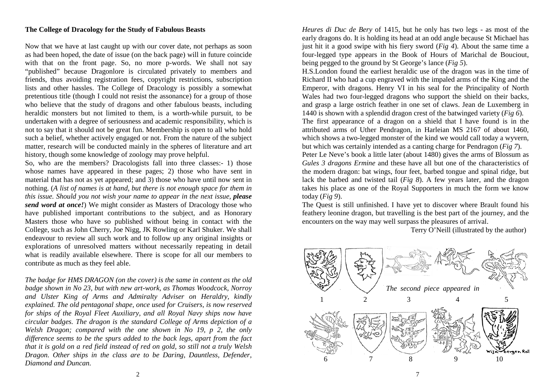### **The College of Dracology for the Study of Fabulous Beasts**

Now that we have at last caught up with our cover date, not perhaps as soon as had been hoped, the date of issue (on the back page) will in future coincide with that on the front page. So, no more p-words. We shall not say "published" because Dragonlore is circulated privately to members and friends, thus avoiding registration fees, copyright restrictions, subscription lists and other hassles. The College of Dracology is possibly a somewhat pretentious title (though I could not resist the assonance) for a group of those who believe that the study of dragons and other fabulous beasts, including heraldic monsters but not limited to them, is a worth-while pursuit, to be undertaken with a degree of seriousness and academic responsibility, which is not to say that it should not be great fun. Membership is open to all who hold such a belief, whether actively engaged or not. From the nature of the subject matter, research will be conducted mainly in the spheres of literature and art history, though some knowledge of zoology may prove helpful.

So, who are the members? Dracologists fall into three classes:- 1) those whose names have appeared in these pages; 2) those who have sent in material that has not as yet appeared; and 3) those who have until now sent in nothing. (*A list of names is at hand, but there is not enough space for them in this issue. Should you not wish your name to appear in the next issue, please send word at once!*) We might consider as Masters of Dracology those who have published important contributions to the subject, and as Honorary Masters those who have so published without being in contact with the College, such as John Cherry, Joe Nigg, JK Rowling or Karl Shuker. We shall endeavour to review all such work and to follow up any original insights or explorations of unresolved matters without necessarily repeating in detail what is readily available elsewhere. There is scope for all our members to contribute as much as they feel able.

*The badge for HMS DRAGON (on the cover) is the same in content as the old badge shown in No 23, but with new art-work, as Thomas Woodcock, Norroy and Ulster King of Arms and Admiralty Adviser on Heraldry, kindly explained. The old pentagonal shape, once used for Cruisers, is now reserved for ships of the Royal Fleet Auxiliary, and all Royal Navy ships now have circular badges. The dragon is the standard College of Arms depiction of a Welsh Dragon; compared with the one shown in No 19, p 2, the only difference seems to be the spurs added to the back legs, apart from the fact that it is gold on a red field instead of red on gold, so still not a truly Welsh Dragon. Other ships in the class are to be Daring, Dauntless, Defender, Diamond and Duncan.* 

*Heures di Duc de Bery* of 1415, but he only has two legs - as most of the early dragons do. It is holding its head at an odd angle because St Michael has just hit it a good swipe with his fiery sword (*Fig 4*). About the same time a four-legged type appears in the Book of Hours of Marichal de Bouciout, being pegged to the ground by St George's lance (*Fig 5*).

H.S.London found the earliest heraldic use of the dragon was in the time of Richard II who had a cup engraved with the impaled arms of the King and the Emperor, with dragons. Henry VI in his seal for the Principality of North Wales had two four-legged dragons who support the shield on their backs, and grasp a large ostrich feather in one set of claws. Jean de Luxemberg in 1440 is shown with a splendid dragon crest of the batwinged variety (*Fig 6*).

The first appearance of a dragon on a shield that I have found is in the attributed arms of Uther Pendragon, in Harleian MS 2167 of about 1460, which shows a two-legged monster of the kind we would call today a wyvern, but which was certainly intended as a canting charge for Pendragon (*Fig 7*).

Peter Le Neve's book a little later (about 1480) gives the arms of Blossum as *Gules 3 dragons Ermine* and these have all but one of the characteristics of the modern dragon: bat wings, four feet, barbed tongue and spinal ridge, but lack the barbed and twisted tail (*Fig 8*). A few years later, and the dragon takes his place as one of the Royal Supporters in much the form we know today (*Fig 9*).

The Quest is still unfinished. I have yet to discover where Brault found his feathery leonine dragon, but travelling is the best part of the journey, and the encounters on the way may well surpass the pleasures of arrival.

Terry O'Neill (illustrated by the author)

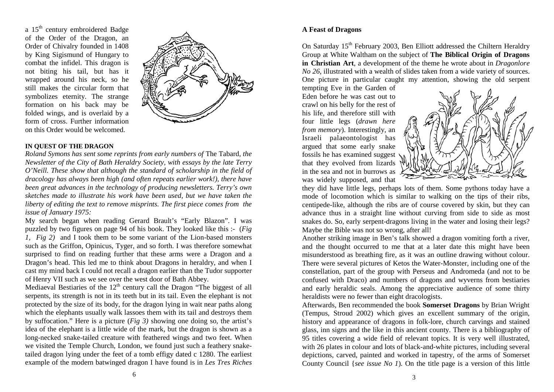a 15<sup>th</sup> century embroidered Badge of the Order of the Dragon, an Order of Chivalry founded in 1408 by King Sigismund of Hungary to combat the infidel. This dragon is not biting his tail, but has it wrapped around his neck, so he still makes the circular form that symbolizes eternity. The strange formation on his back may be folded wings, and is overlaid by a form of cross. Further information on this Order would be welcomed.



#### **IN QUEST OF THE DRAGON**

*Roland Symons has sent some reprints from early numbers of* The Tabard*, the Newsletter of the City of Bath Heraldry Society, with essays by the late Terry O'Neill. These show that although the standard of scholarship in the field of dracology has always been high (and often repeats earlier work!), there have been great advances in the technology of producing newsletters. Terry's own sketches made to illustrate his work have been used, but we have taken the liberty of editing the text to remove misprints. The first piece comes from the issue of January 1975:*

My search began when reading Gerard Brault's "Early Blazon". I was puzzled by two figures on page 94 of his book. They looked like this :- (*Fig 1, Fig 2)* and I took them to be some variant of the Lion-based monsters such as the Griffon, Opinicus, Tyger, and so forth. I was therefore somewhat surprised to find on reading further that these arms were a Dragon and a Dragon's head. This led me to think about Dragons in heraldry, and when I cast my mind back I could not recall a dragon earlier than the Tudor supporter of Henry VII such as we see over the west door of Bath Abbey.

Mediaeval Bestiaries of the  $12<sup>th</sup>$  century call the Dragon "The biggest of all serpents, its strength is not in its teeth but in its tail. Even the elephant is not protected by the size of its body, for the dragon lying in wait near paths along which the elephants usually walk lassoes them with its tail and destroys them by suffocation." Here is a picture (*Fig 3)* showing one doing so, the artist's idea of the elephant is a little wide of the mark, but the dragon is shown as a long-necked snake-tailed creature with feathered wings and two feet. When we visited the Temple Church, London, we found just such a feathery snaketailed dragon lying under the feet of a tomb effigy dated c 1280. The earliest example of the modern batwinged dragon I have found is in *Les Tres Riches* 

## **A Feast of Dragons**

On Saturday 15<sup>th</sup> February 2003, Ben Elliott addressed the Chiltern Heraldry Group at White Waltham on the subject of **The Biblical Origin of Dragons in Christian Art**, a development of the theme he wrote about in *Dragonlore No 26, illustrated with a wealth of slides taken from a wide variety of sources.* One picture in particular caught my attention, showing the old serpent

tempting Eve in the Garden of Eden before he was cast out to crawl on his belly for the rest of his life, and therefore still with four little legs (*drawn here from memory*). Interestingly, an Israeli palaeontologist has argued that some early snake fossils he has examined suggest that they evolved from lizards in the sea and not in burrows as was widely supposed, and that



they did have little legs, perhaps lots of them. Some pythons today have a mode of locomotion which is similar to walking on the tips of their ribs, centipede-like, although the ribs are of course covered by skin, but they can advance thus in a straight line without curving from side to side as most snakes do. So, early serpent-dragons living in the water and losing their legs? Maybe the Bible was not so wrong, after all!

Another striking image in Ben's talk showed a dragon vomiting forth a river, and the thought occurred to me that at a later date this might have been misunderstood as breathing fire, as it was an outline drawing without colour. There were several pictures of Ketos the Water-Monster, including one of the constellation, part of the group with Perseus and Andromeda (and not to be confused with Draco) and numbers of dragons and wyverns from bestiaries and early heraldic seals. Among the appreciative audience of some thirty heraldists were no fewer than eight dracologists.

Afterwards, Ben recommended the book **Somerset Dragons** by Brian Wright (Tempus, Stroud 2002) which gives an excellent summary of the origin, history and appearance of dragons in folk-lore, church carvings and stained glass, inn signs and the like in this ancient county. There is a bibliography of 95 titles covering a wide field of relevant topics. It is very well illustrated, with 26 plates in colour and lots of black-and-white pictures, including several depictions, carved, painted and worked in tapestry, of the arms of Somerset County Council {*see issue No 1*). On the title page is a version of this little